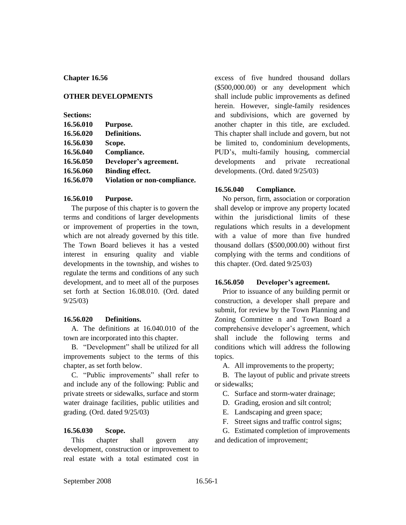## **Chapter 16.56**

### **OTHER DEVELOPMENTS**

| <b>Sections:</b> |                              |
|------------------|------------------------------|
| 16.56.010        | Purpose.                     |
| 16.56.020        | Definitions.                 |
| 16.56.030        | Scope.                       |
| 16.56.040        | Compliance.                  |
| 16.56.050        | Developer's agreement.       |
| 16.56.060        | <b>Binding effect.</b>       |
| 16.56.070        | Violation or non-compliance. |
|                  |                              |

#### **16.56.010 Purpose.**

The purpose of this chapter is to govern the terms and conditions of larger developments or improvement of properties in the town, which are not already governed by this title. The Town Board believes it has a vested interest in ensuring quality and viable developments in the township, and wishes to regulate the terms and conditions of any such development, and to meet all of the purposes set forth at Section 16.08.010. (Ord. dated 9/25/03)

#### **16.56.020 Definitions.**

A. The definitions at 16.040.010 of the town are incorporated into this chapter.

B. "Development" shall be utilized for all improvements subject to the terms of this chapter, as set forth below.

C. "Public improvements" shall refer to and include any of the following: Public and private streets or sidewalks, surface and storm water drainage facilities, public utilities and grading. (Ord. dated 9/25/03)

## **16.56.030 Scope.**

This chapter shall govern any development, construction or improvement to real estate with a total estimated cost in

excess of five hundred thousand dollars (\$500,000.00) or any development which shall include public improvements as defined herein. However, single-family residences and subdivisions, which are governed by another chapter in this title, are excluded. This chapter shall include and govern, but not be limited to, condominium developments, PUD's, multi-family housing, commercial developments and private recreational developments. (Ord. dated 9/25/03)

# **16.56.040 Compliance.**

No person, firm, association or corporation shall develop or improve any property located within the jurisdictional limits of these regulations which results in a development with a value of more than five hundred thousand dollars (\$500,000.00) without first complying with the terms and conditions of this chapter. (Ord. dated 9/25/03)

#### **16.56.050 Developer's agreement.**

Prior to issuance of any building permit or construction, a developer shall prepare and submit, for review by the Town Planning and Zoning Committee n and Town Board a comprehensive developer's agreement, which shall include the following terms and conditions which will address the following topics.

A. All improvements to the property;

B. The layout of public and private streets or sidewalks;

C. Surface and storm-water drainage;

D. Grading, erosion and silt control;

E. Landscaping and green space;

F. Street signs and traffic control signs;

G. Estimated completion of improvements and dedication of improvement;